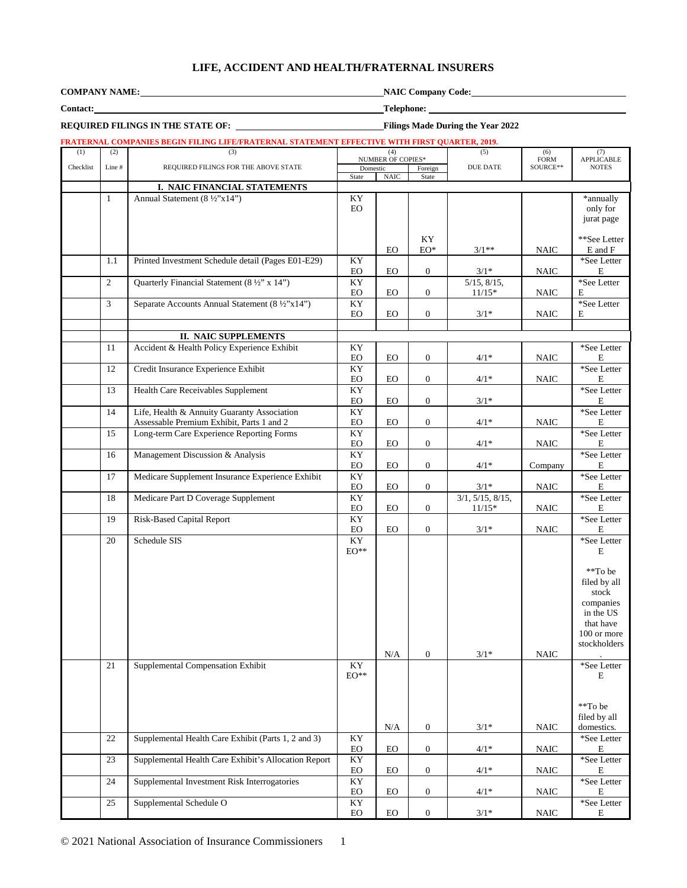## **LIFE, ACCIDENT AND HEALTH/FRATERNAL INSURERS**

| <b>COMPANY NAME</b> |  |
|---------------------|--|
|                     |  |

**Company Code:** 

**REQUIRED FILINGS IN THE STATE OF:** Filings Made During the Year 2022

**Contact: Telephone:**

## **FRATERNAL COMPANIES BEGIN FILING LIFE/FRATERNAL STATEMENT EFFECTIVE WITH FIRST QUARTER, 2019.**

| (1)       | (2)            | (3)                                                         | (4)                                  |             | (5)<br><b>NUMBER OF COPIES*</b> |                   | (6)                     | (7)                        |
|-----------|----------------|-------------------------------------------------------------|--------------------------------------|-------------|---------------------------------|-------------------|-------------------------|----------------------------|
| Checklist | Line #         | REQUIRED FILINGS FOR THE ABOVE STATE                        | Domestic                             |             | Foreign                         | DUE DATE          | <b>FORM</b><br>SOURCE** | APPLICABLE<br><b>NOTES</b> |
|           |                |                                                             | State                                | <b>NAIC</b> | State                           |                   |                         |                            |
|           | $\mathbf{1}$   | I. NAIC FINANCIAL STATEMENTS<br>Annual Statement (8 ½"x14") | KY                                   |             |                                 |                   |                         | *annually                  |
|           |                |                                                             | $_{\rm EO}$                          |             |                                 |                   |                         | only for                   |
|           |                |                                                             |                                      |             |                                 |                   |                         | jurat page                 |
|           |                |                                                             |                                      |             |                                 |                   |                         |                            |
|           |                |                                                             |                                      | EO          | KY<br>$EO^*$                    | $3/1**$           | <b>NAIC</b>             | **See Letter<br>E and F    |
|           | 1.1            | Printed Investment Schedule detail (Pages E01-E29)          | KY                                   |             |                                 |                   |                         | *See Letter                |
|           |                |                                                             | EO                                   | EO          | $\mathbf{0}$                    | $3/1*$            | <b>NAIC</b>             | $\mathbf E$                |
|           | 2              | Quarterly Financial Statement (8 1/2" x 14")                | KY                                   |             |                                 | $5/15$ , $8/15$ , |                         | *See Letter                |
|           |                |                                                             | EO                                   | $_{\rm EO}$ | $\mathbf{0}$                    | $11/15*$          | <b>NAIC</b>             | Е                          |
|           | $\mathfrak{Z}$ | Separate Accounts Annual Statement (8 ½"x14")               | KY                                   |             |                                 |                   |                         | *See Letter                |
|           |                |                                                             | EO                                   | EO          | $\mathbf{0}$                    | $3/1*$            | <b>NAIC</b>             | E                          |
|           |                | II. NAIC SUPPLEMENTS                                        |                                      |             |                                 |                   |                         |                            |
|           | 11             | Accident & Health Policy Experience Exhibit                 | KY                                   |             |                                 |                   |                         | *See Letter                |
|           |                |                                                             | EO                                   | EO          | $\mathbf{0}$                    | $4/1*$            | <b>NAIC</b>             | $\mathbf E$                |
|           | 12             | Credit Insurance Experience Exhibit                         | KY                                   |             |                                 |                   |                         | *See Letter                |
|           | 13             | <b>Health Care Receivables Supplement</b>                   | EO<br>KY                             | EO          | $\overline{0}$                  | $4/1*$            | <b>NAIC</b>             | E                          |
|           |                |                                                             | EO                                   | EO          | $\mathbf{0}$                    | $3/1*$            |                         | *See Letter<br>E           |
|           | 14             | Life, Health & Annuity Guaranty Association                 | KY                                   |             |                                 |                   |                         | *See Letter                |
|           |                | Assessable Premium Exhibit, Parts 1 and 2                   | EO                                   | EO.         | $\overline{0}$                  | $4/1*$            | <b>NAIC</b>             | E                          |
|           | 15             | Long-term Care Experience Reporting Forms                   | KY                                   |             |                                 |                   |                         | *See Letter                |
|           |                |                                                             | EO                                   | EO          | $\mathbf{0}$                    | $4/1*$            | <b>NAIC</b>             | $\mathbf E$                |
|           | 16             | Management Discussion & Analysis                            | $\mathbf{K}\mathbf{Y}$               |             |                                 |                   |                         | *See Letter                |
|           | 17             | Medicare Supplement Insurance Experience Exhibit            | EO<br>$\mathbf{K}\mathbf{Y}$         | $_{\rm EO}$ | $\overline{0}$                  | $4/1*$            | Company                 | $\mathbf E$<br>*See Letter |
|           |                |                                                             | ${\rm EO}$                           | EO          | $\mathbf{0}$                    | $3/1*$            | $\rm NAIC$              | $\mathbf E$                |
|           | 18             | Medicare Part D Coverage Supplement                         | KY                                   |             |                                 | 3/1, 5/15, 8/15,  |                         | *See Letter                |
|           |                |                                                             | EO                                   | $_{\rm EO}$ | $\mathbf{0}$                    | $11/15*$          | $\rm NAIC$              | $\mathbf E$                |
|           | 19             | Risk-Based Capital Report                                   | KY                                   |             |                                 |                   |                         | *See Letter                |
|           | 20             | Schedule SIS                                                | EO<br>KY                             | EO          | $\boldsymbol{0}$                | $3/1*$            | <b>NAIC</b>             | E<br>*See Letter           |
|           |                |                                                             | $\mathrm{EO}^{**}$                   |             |                                 |                   |                         | E                          |
|           |                |                                                             |                                      |             |                                 |                   |                         |                            |
|           |                |                                                             |                                      |             |                                 |                   |                         | **To be                    |
|           |                |                                                             |                                      |             |                                 |                   |                         | filed by all               |
|           |                |                                                             |                                      |             |                                 |                   |                         | stock<br>companies         |
|           |                |                                                             |                                      |             |                                 |                   |                         | in the US                  |
|           |                |                                                             |                                      |             |                                 |                   |                         | that have                  |
|           |                |                                                             |                                      |             |                                 |                   |                         | 100 or more                |
|           |                |                                                             |                                      | $\rm N/A$   | $\mathbf{0}$                    | $3/1*$            |                         | stockholders               |
|           | 21             | Supplemental Compensation Exhibit                           | KY                                   |             |                                 |                   | $\rm NAIC$              | *See Letter                |
|           |                |                                                             | $\mathrm{EO}^{**}$                   |             |                                 |                   |                         | $\mathbf E$                |
|           |                |                                                             |                                      |             |                                 |                   |                         |                            |
|           |                |                                                             |                                      |             |                                 |                   |                         |                            |
|           |                |                                                             |                                      |             |                                 |                   |                         | **To be<br>filed by all    |
|           |                |                                                             |                                      | $\rm N/A$   | $\boldsymbol{0}$                | $3/1*$            | $\rm NAIC$              | domestics.                 |
|           | 22             | Supplemental Health Care Exhibit (Parts 1, 2 and 3)         | KY                                   |             |                                 |                   |                         | *See Letter                |
|           |                |                                                             | ${\rm EO}$                           | <b>EO</b>   | $\overline{0}$                  | $4/1*$            | $\rm NAIC$              | Е                          |
|           | 23             | Supplemental Health Care Exhibit's Allocation Report        | KY                                   |             |                                 |                   |                         | *See Letter                |
|           | 24             | Supplemental Investment Risk Interrogatories                | ${\rm EO}$<br>$\mathbf{K}\mathbf{Y}$ | EO          | $\mathbf{0}$                    | $4/1*$            | <b>NAIC</b>             | E<br>*See Letter           |
|           |                |                                                             | EO                                   | EO          | $\mathbf{0}$                    | $4/1*$            | <b>NAIC</b>             | Е                          |
|           | 25             | Supplemental Schedule O                                     | KY                                   |             |                                 |                   |                         | *See Letter                |
|           |                |                                                             | $_{\rm EO}$                          | EO          | $\mathbf{0}$                    | $3/1*$            | <b>NAIC</b>             | E                          |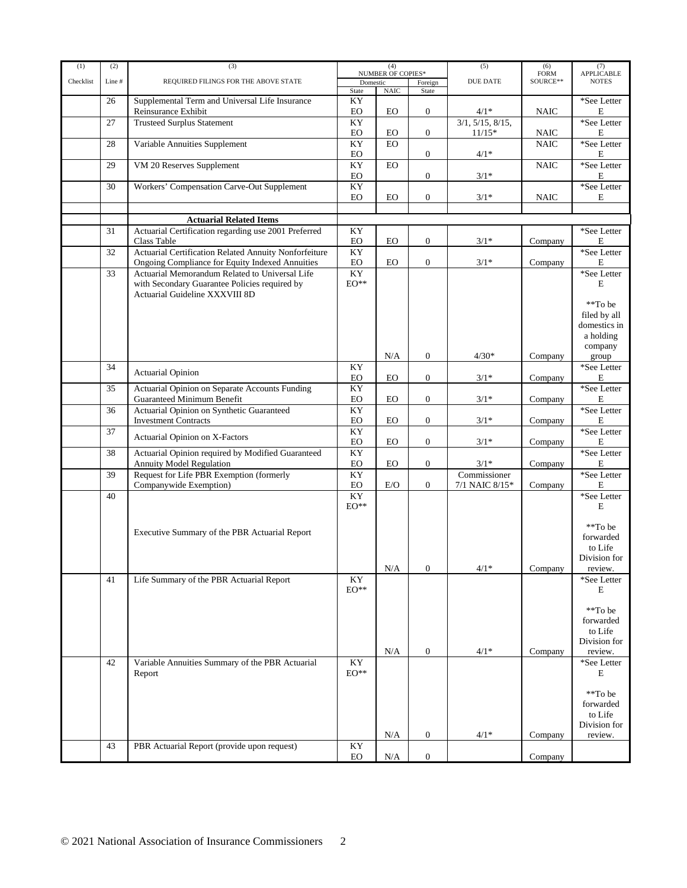| (1)       | (2)    | (3)                                                                                                                               |                                     | (4)                      |                  | (5)                            | (6)                      | (7)                                                                            |
|-----------|--------|-----------------------------------------------------------------------------------------------------------------------------------|-------------------------------------|--------------------------|------------------|--------------------------------|--------------------------|--------------------------------------------------------------------------------|
| Checklist | Line # | REQUIRED FILINGS FOR THE ABOVE STATE                                                                                              | Domestic                            | <b>NUMBER OF COPIES*</b> | Foreign          | <b>DUE DATE</b>                | ${\rm FORM}$<br>SOURCE** | APPLICABLE<br><b>NOTES</b>                                                     |
|           |        |                                                                                                                                   | State                               | <b>NAIC</b>              | State            |                                |                          |                                                                                |
|           | 26     | Supplemental Term and Universal Life Insurance                                                                                    | KY                                  |                          |                  |                                |                          | *See Letter                                                                    |
|           |        | Reinsurance Exhibit                                                                                                               | EO                                  | <b>EO</b>                | $\boldsymbol{0}$ | $4/1*$                         | <b>NAIC</b>              | E                                                                              |
|           | 27     | <b>Trusteed Surplus Statement</b>                                                                                                 | KY                                  |                          |                  | $\overline{3/1}$ , 5/15, 8/15, |                          | *See Letter                                                                    |
|           |        |                                                                                                                                   | $_{\rm EO}$                         | $_{\rm EO}$              | $\overline{0}$   | $11/15*$                       | <b>NAIC</b>              | E                                                                              |
|           | 28     | Variable Annuities Supplement                                                                                                     | KY                                  | EO                       |                  |                                | <b>NAIC</b>              | *See Letter                                                                    |
|           |        |                                                                                                                                   | $_{\rm EO}$                         |                          | $\boldsymbol{0}$ | $4/1*$                         |                          | E                                                                              |
|           | 29     | VM 20 Reserves Supplement                                                                                                         | KY                                  | <b>EO</b>                |                  |                                | <b>NAIC</b>              | *See Letter                                                                    |
|           |        |                                                                                                                                   | $_{\rm EO}$                         |                          | $\boldsymbol{0}$ | $3/1*$                         |                          | E                                                                              |
|           | 30     | Workers' Compensation Carve-Out Supplement                                                                                        | KY                                  |                          |                  |                                |                          | *See Letter                                                                    |
|           |        |                                                                                                                                   | EO                                  | EO                       | $\mathbf{0}$     | $3/1*$                         | <b>NAIC</b>              | E                                                                              |
|           |        |                                                                                                                                   |                                     |                          |                  |                                |                          |                                                                                |
|           |        | <b>Actuarial Related Items</b>                                                                                                    |                                     |                          |                  |                                |                          |                                                                                |
|           | 31     | Actuarial Certification regarding use 2001 Preferred                                                                              | KY                                  |                          |                  |                                |                          | *See Letter                                                                    |
|           |        | Class Table                                                                                                                       | <b>EO</b>                           | EO                       | $\mathbf{0}$     | $3/1*$                         | Company                  | E                                                                              |
|           | 32     | Actuarial Certification Related Annuity Nonforfeiture                                                                             | KY                                  |                          |                  |                                |                          | *See Letter                                                                    |
|           |        | Ongoing Compliance for Equity Indexed Annuities                                                                                   | <b>EO</b>                           | <b>EO</b>                | $\boldsymbol{0}$ | $3/1*$                         | Company                  | E                                                                              |
|           | 33     | Actuarial Memorandum Related to Universal Life<br>with Secondary Guarantee Policies required by<br>Actuarial Guideline XXXVIII 8D | $\mathbf{K}\mathbf{Y}$<br>$EO^{**}$ |                          |                  |                                |                          | *See Letter<br>E                                                               |
|           |        |                                                                                                                                   |                                     | N/A                      | $\boldsymbol{0}$ | $4/30*$                        | Company                  | **To be<br>filed by all<br>domestics in<br>a holding<br>company<br>group       |
|           | 34     |                                                                                                                                   | KY                                  |                          |                  |                                |                          | *See Letter                                                                    |
|           |        | <b>Actuarial Opinion</b>                                                                                                          | $_{\rm EO}$                         | EO                       | $\boldsymbol{0}$ | $3/1*$                         | Company                  | Е                                                                              |
|           | 35     | Actuarial Opinion on Separate Accounts Funding                                                                                    | KY                                  |                          |                  |                                |                          | *See Letter                                                                    |
|           |        | <b>Guaranteed Minimum Benefit</b>                                                                                                 | EO                                  | EO                       | $\mathbf{0}$     | $3/1*$                         | Company                  | E                                                                              |
|           | 36     | Actuarial Opinion on Synthetic Guaranteed                                                                                         | KY                                  |                          |                  |                                |                          | *See Letter                                                                    |
|           |        | <b>Investment Contracts</b>                                                                                                       | EO                                  | <b>EO</b>                | $\mathbf{0}$     | $3/1*$                         | Company                  | E                                                                              |
|           | 37     | Actuarial Opinion on X-Factors                                                                                                    | KY                                  |                          |                  |                                |                          | *See Letter                                                                    |
|           |        |                                                                                                                                   | $_{\rm EO}$                         | <b>EO</b>                | $\boldsymbol{0}$ | $3/1*$                         | Company                  | Е                                                                              |
|           | 38     | Actuarial Opinion required by Modified Guaranteed                                                                                 | KY                                  |                          |                  |                                |                          | *See Letter                                                                    |
|           |        | Annuity Model Regulation                                                                                                          | $_{\rm EO}$                         | EO                       | $\boldsymbol{0}$ | $3/1*$                         | Company                  | E                                                                              |
|           | 39     | Request for Life PBR Exemption (formerly                                                                                          | KY                                  |                          |                  | Commissioner                   |                          | *See Letter                                                                    |
|           |        | Companywide Exemption)                                                                                                            | EO                                  | E/O                      | $\overline{0}$   | $7/1$ NAIC $8/15\,*$           | Company                  | E                                                                              |
|           | 40     | Executive Summary of the PBR Actuarial Report                                                                                     | KY<br>$EO^{**}$                     | N/A                      | $\boldsymbol{0}$ | $4/1*$                         | Company                  | *See Letter<br>E<br>**To be<br>forwarded<br>to Life<br>Division for<br>review. |
|           | 41     | Life Summary of the PBR Actuarial Report                                                                                          | KY                                  |                          |                  |                                |                          | *See Letter                                                                    |
|           |        |                                                                                                                                   | $EO^{**}$                           |                          |                  |                                |                          | E                                                                              |
|           |        |                                                                                                                                   |                                     | $\rm N/A$                | $\mathbf{0}$     | $4/1*$                         | Company                  | **To be<br>forwarded<br>to Life<br>Division for<br>review.                     |
|           | 42     | Variable Annuities Summary of the PBR Actuarial<br>Report                                                                         | KY<br>$EO^{**}$                     |                          |                  |                                |                          | *See Letter<br>E                                                               |
|           |        |                                                                                                                                   |                                     | N/A                      | $\boldsymbol{0}$ | $4/1*$                         | Company                  | **To be<br>forwarded<br>to Life<br>Division for<br>review.                     |
|           | 43     | PBR Actuarial Report (provide upon request)                                                                                       | $\mathbf{K}\mathbf{Y}$              |                          |                  |                                |                          |                                                                                |
|           |        |                                                                                                                                   | EO                                  | N/A                      | $\mathbf{0}$     |                                | Company                  |                                                                                |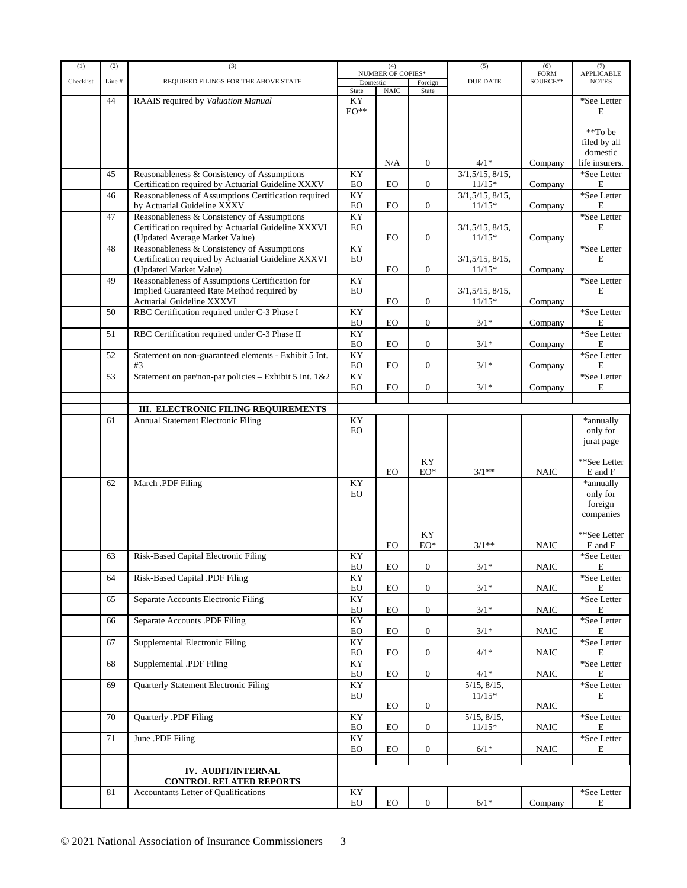| (1)       | (2)    | (3)                                                    | (4)                                  |             | (5)              | $(6)$<br>FORM     | $\left( 7\right)$ APPLICABLE |                          |
|-----------|--------|--------------------------------------------------------|--------------------------------------|-------------|------------------|-------------------|------------------------------|--------------------------|
| Checklist | Line # | REQUIRED FILINGS FOR THE ABOVE STATE                   | <b>NUMBER OF COPIES*</b><br>Domestic |             | <b>DUE DATE</b>  |                   | SOURCE**                     | <b>NOTES</b>             |
|           |        |                                                        | State                                | <b>NAIC</b> | Foreign<br>State |                   |                              |                          |
|           | 44     | RAAIS required by Valuation Manual                     | KY.                                  |             |                  |                   |                              | *See Letter              |
|           |        |                                                        | $EO^{**}$                            |             |                  |                   |                              | E                        |
|           |        |                                                        |                                      |             |                  |                   |                              |                          |
|           |        |                                                        |                                      |             |                  |                   |                              | **To be                  |
|           |        |                                                        |                                      |             |                  |                   |                              |                          |
|           |        |                                                        |                                      |             |                  |                   |                              | filed by all<br>domestic |
|           |        |                                                        |                                      |             |                  |                   |                              |                          |
|           |        |                                                        |                                      | N/A         | $\mathbf{0}$     | $4/1*$            | Company                      | life insurers.           |
|           | 45     | Reasonableness & Consistency of Assumptions            | KY                                   |             |                  | 3/1, 5/15, 8/15,  |                              | *See Letter              |
|           |        | Certification required by Actuarial Guideline XXXV     | EO                                   | EO          | $\overline{0}$   | $11/15*$          | Company                      | E                        |
|           | 46     | Reasonableness of Assumptions Certification required   | KY                                   |             |                  | 3/1, 5/15, 8/15,  |                              | *See Letter              |
|           |        | by Actuarial Guideline XXXV                            | EO                                   | <b>EO</b>   | $\overline{0}$   | $11/15*$          | Company                      | E                        |
|           | 47     | Reasonableness & Consistency of Assumptions            | KY                                   |             |                  |                   |                              | *See Letter              |
|           |        | Certification required by Actuarial Guideline XXXVI    | <b>EO</b>                            |             |                  | 3/1, 5/15, 8/15,  |                              | E                        |
|           |        | (Updated Average Market Value)                         |                                      | EO          | $\overline{0}$   | $11/15*$          | Company                      |                          |
|           | 48     | Reasonableness & Consistency of Assumptions            | KY                                   |             |                  |                   |                              | *See Letter              |
|           |        | Certification required by Actuarial Guideline XXXVI    | <b>EO</b>                            |             |                  | 3/1, 5/15, 8/15,  |                              | E                        |
|           |        | (Updated Market Value)                                 |                                      | EO          | $\overline{0}$   | $11/15*$          | Company                      |                          |
|           | 49     | Reasonableness of Assumptions Certification for        | KY                                   |             |                  |                   |                              | *See Letter              |
|           |        |                                                        |                                      |             |                  |                   |                              |                          |
|           |        | Implied Guaranteed Rate Method required by             | <b>EO</b>                            |             |                  | 3/1, 5/15, 8/15,  |                              | E                        |
|           |        | <b>Actuarial Guideline XXXVI</b>                       |                                      | <b>EO</b>   | $\overline{0}$   | $11/15*$          | Company                      |                          |
|           | 50     | RBC Certification required under C-3 Phase I           | KY                                   |             |                  |                   |                              | *See Letter              |
|           |        |                                                        | EO                                   | EO          | $\overline{0}$   | $3/1*$            | Company                      | E                        |
|           | 51     | RBC Certification required under C-3 Phase II          | KY                                   |             |                  |                   |                              | *See Letter              |
|           |        |                                                        | EO                                   | EO          | $\mathbf{0}$     | $3/1*$            | Company                      | Е                        |
|           | 52     | Statement on non-guaranteed elements - Exhibit 5 Int.  | KY                                   |             |                  |                   |                              | *See Letter              |
|           |        | #3                                                     | EO                                   | EO          | $\overline{0}$   | $3/1*$            | Company                      | E                        |
|           | 53     | Statement on par/non-par policies - Exhibit 5 Int. 1&2 | KY                                   |             |                  |                   |                              | *See Letter              |
|           |        |                                                        | <b>EO</b>                            | EO          | $\overline{0}$   | $3/1*$            | Company                      | Е                        |
|           |        |                                                        |                                      |             |                  |                   |                              |                          |
|           |        |                                                        |                                      |             |                  |                   |                              |                          |
|           |        | III. ELECTRONIC FILING REQUIREMENTS                    |                                      |             |                  |                   |                              |                          |
|           | 61     | Annual Statement Electronic Filing                     | KY                                   |             |                  |                   |                              | *annually                |
|           |        |                                                        | EO                                   |             |                  |                   |                              | only for                 |
|           |        |                                                        |                                      |             |                  |                   |                              | jurat page               |
|           |        |                                                        |                                      |             |                  |                   |                              |                          |
|           |        |                                                        |                                      |             | KY               |                   |                              | **See Letter             |
|           |        |                                                        |                                      | EO          | $EO^*$           | $3/1**$           | <b>NAIC</b>                  | E and F                  |
|           | 62     | March .PDF Filing                                      | KY                                   |             |                  |                   |                              | *annually                |
|           |        |                                                        | <b>EO</b>                            |             |                  |                   |                              | only for                 |
|           |        |                                                        |                                      |             |                  |                   |                              | foreign                  |
|           |        |                                                        |                                      |             |                  |                   |                              | companies                |
|           |        |                                                        |                                      |             |                  |                   |                              |                          |
|           |        |                                                        |                                      |             |                  |                   |                              | **See Letter             |
|           |        |                                                        |                                      |             | KY               |                   |                              |                          |
|           |        |                                                        |                                      | EO          | EO*              | $3/1**$           | <b>NAIC</b>                  | E and F                  |
|           | 63     | Risk-Based Capital Electronic Filing                   | KY                                   |             |                  |                   |                              | *See Letter              |
|           |        |                                                        | EO                                   | EO          | 0                | $3/1*$            | NAIC                         | E                        |
|           | 64     | Risk-Based Capital .PDF Filing                         | KY                                   |             |                  |                   |                              | *See Letter              |
|           |        |                                                        | EO                                   | EO          | $\overline{0}$   | $3/1*$            | <b>NAIC</b>                  | E                        |
|           | 65     | Separate Accounts Electronic Filing                    | KY                                   |             |                  |                   |                              | *See Letter              |
|           |        |                                                        | EO                                   | $_{\rm EO}$ | $\overline{0}$   | $3/1*$            | $\rm NAIC$                   | E                        |
|           | 66     | Separate Accounts .PDF Filing                          | KY                                   |             |                  |                   |                              | *See Letter              |
|           |        |                                                        | EO                                   | EO          | $\overline{0}$   | $3/1*$            | <b>NAIC</b>                  | E                        |
|           | 67     | Supplemental Electronic Filing                         | KY                                   |             |                  |                   |                              | *See Letter              |
|           |        |                                                        | EO                                   | EO.         | $\overline{0}$   | $4/1*$            | <b>NAIC</b>                  | E                        |
|           |        |                                                        |                                      |             |                  |                   |                              |                          |
|           | 68     | Supplemental .PDF Filing                               | KY                                   |             |                  |                   |                              | *See Letter              |
|           |        |                                                        | EO                                   | EO          | $\overline{0}$   | $4/1*$            | <b>NAIC</b>                  | E                        |
|           | 69     | <b>Quarterly Statement Electronic Filing</b>           | KY                                   |             |                  | $5/15$ , $8/15$ , |                              | *See Letter              |
|           |        |                                                        | EO                                   |             |                  | $11/15*$          |                              | E                        |
|           |        |                                                        |                                      | EO          | $\overline{0}$   |                   | <b>NAIC</b>                  |                          |
|           | 70     | Quarterly .PDF Filing                                  | KY                                   |             |                  | $5/15$ , $8/15$ , |                              | *See Letter              |
|           |        |                                                        | EO                                   | EO.         | $\overline{0}$   | $11/15*$          | <b>NAIC</b>                  | E                        |
|           | 71     | June .PDF Filing                                       | KY                                   |             |                  |                   |                              | *See Letter              |
|           |        |                                                        | EO                                   | EO.         | $\overline{0}$   | $6/1*$            | <b>NAIC</b>                  | E                        |
|           |        |                                                        |                                      |             |                  |                   |                              |                          |
|           |        |                                                        |                                      |             |                  |                   |                              |                          |
|           |        | IV. AUDIT/INTERNAL                                     |                                      |             |                  |                   |                              |                          |
|           |        | <b>CONTROL RELATED REPORTS</b>                         |                                      |             |                  |                   |                              |                          |
|           | 81     | Accountants Letter of Qualifications                   | KY                                   |             |                  |                   |                              | *See Letter              |
|           |        |                                                        | $_{\rm EO}$                          | $_{\rm EO}$ | $\mathbf{0}$     | $6/1*$            | Company                      | Ε                        |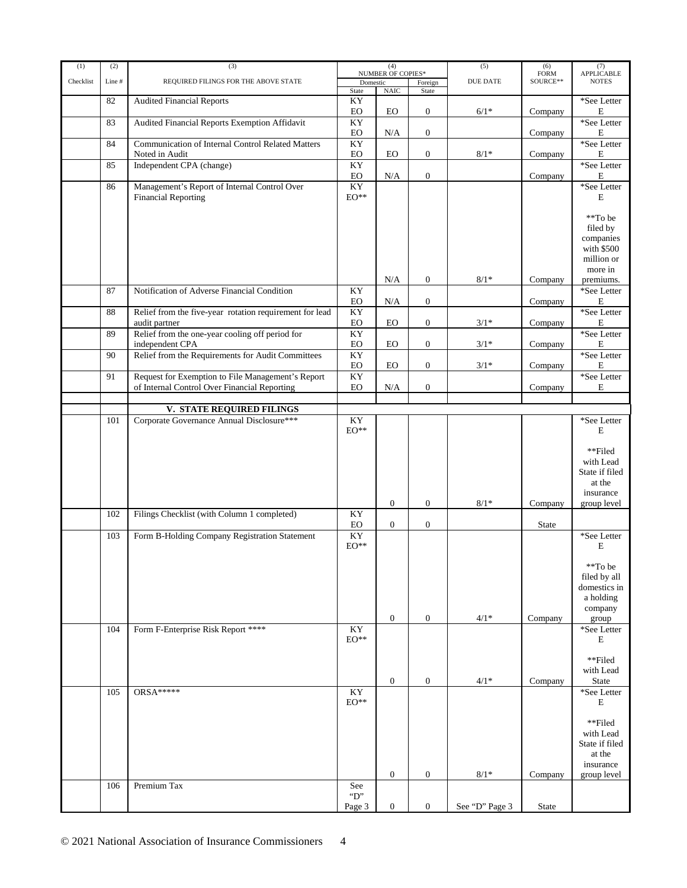| (1)       | (2)   | (4)<br>(3)<br>(5)                                       |                        |                  |                                | (6)             |                         |                                   |  |  |  |  |  |  |  |  |  |  |  | NUMBER OF COPIES* |  |  |  |  |  |  |  | (7) |
|-----------|-------|---------------------------------------------------------|------------------------|------------------|--------------------------------|-----------------|-------------------------|-----------------------------------|--|--|--|--|--|--|--|--|--|--|--|-------------------|--|--|--|--|--|--|--|-----|
| Checklist | Line# | REQUIRED FILINGS FOR THE ABOVE STATE                    |                        |                  |                                | <b>DUE DATE</b> | <b>FORM</b><br>SOURCE** | <b>APPLICABLE</b><br><b>NOTES</b> |  |  |  |  |  |  |  |  |  |  |  |                   |  |  |  |  |  |  |  |     |
|           |       |                                                         | Domestic<br>State      | $\rm NAIC$       | $\overline{F}$ oreign<br>State |                 |                         |                                   |  |  |  |  |  |  |  |  |  |  |  |                   |  |  |  |  |  |  |  |     |
|           | 82    | <b>Audited Financial Reports</b>                        | KY                     |                  |                                |                 |                         | *See Letter                       |  |  |  |  |  |  |  |  |  |  |  |                   |  |  |  |  |  |  |  |     |
|           |       |                                                         | EO                     | EO               | $\boldsymbol{0}$               | $6/1*$          | Company                 | Е                                 |  |  |  |  |  |  |  |  |  |  |  |                   |  |  |  |  |  |  |  |     |
|           | 83    | Audited Financial Reports Exemption Affidavit           | KY                     |                  |                                |                 |                         | *See Letter                       |  |  |  |  |  |  |  |  |  |  |  |                   |  |  |  |  |  |  |  |     |
|           |       |                                                         | $_{\rm EO}$            | N/A              | $\mathbf{0}$                   |                 | Company                 | E                                 |  |  |  |  |  |  |  |  |  |  |  |                   |  |  |  |  |  |  |  |     |
|           | 84    | Communication of Internal Control Related Matters       | KY                     |                  |                                |                 |                         | *See Letter                       |  |  |  |  |  |  |  |  |  |  |  |                   |  |  |  |  |  |  |  |     |
|           |       | Noted in Audit                                          | EO                     | <b>EO</b>        | $\boldsymbol{0}$               | $8/1*$          | Company                 | E                                 |  |  |  |  |  |  |  |  |  |  |  |                   |  |  |  |  |  |  |  |     |
|           | 85    | Independent CPA (change)                                | KY                     |                  |                                |                 |                         | *See Letter                       |  |  |  |  |  |  |  |  |  |  |  |                   |  |  |  |  |  |  |  |     |
|           |       |                                                         | EO                     | N/A              | $\boldsymbol{0}$               |                 | Company                 | Е                                 |  |  |  |  |  |  |  |  |  |  |  |                   |  |  |  |  |  |  |  |     |
|           | 86    | Management's Report of Internal Control Over            | $\mathbf{K}\mathbf{Y}$ |                  |                                |                 |                         | *See Letter                       |  |  |  |  |  |  |  |  |  |  |  |                   |  |  |  |  |  |  |  |     |
|           |       | <b>Financial Reporting</b>                              | $\mathrm{EO}^{**}$     |                  |                                |                 |                         | E                                 |  |  |  |  |  |  |  |  |  |  |  |                   |  |  |  |  |  |  |  |     |
|           |       |                                                         |                        |                  |                                |                 |                         |                                   |  |  |  |  |  |  |  |  |  |  |  |                   |  |  |  |  |  |  |  |     |
|           |       |                                                         |                        |                  |                                |                 |                         | **To be                           |  |  |  |  |  |  |  |  |  |  |  |                   |  |  |  |  |  |  |  |     |
|           |       |                                                         |                        |                  |                                |                 |                         | filed by                          |  |  |  |  |  |  |  |  |  |  |  |                   |  |  |  |  |  |  |  |     |
|           |       |                                                         |                        |                  |                                |                 |                         | companies<br>with \$500           |  |  |  |  |  |  |  |  |  |  |  |                   |  |  |  |  |  |  |  |     |
|           |       |                                                         |                        |                  |                                |                 |                         | million or                        |  |  |  |  |  |  |  |  |  |  |  |                   |  |  |  |  |  |  |  |     |
|           |       |                                                         |                        |                  |                                |                 |                         | more in                           |  |  |  |  |  |  |  |  |  |  |  |                   |  |  |  |  |  |  |  |     |
|           |       |                                                         |                        | N/A              | $\boldsymbol{0}$               | $8/1\,^*$       | Company                 | premiums.                         |  |  |  |  |  |  |  |  |  |  |  |                   |  |  |  |  |  |  |  |     |
|           | 87    | Notification of Adverse Financial Condition             | KY                     |                  |                                |                 |                         | *See Letter                       |  |  |  |  |  |  |  |  |  |  |  |                   |  |  |  |  |  |  |  |     |
|           |       |                                                         | EO                     | $\rm N/A$        | $\boldsymbol{0}$               |                 | Company                 | Е                                 |  |  |  |  |  |  |  |  |  |  |  |                   |  |  |  |  |  |  |  |     |
|           | 88    | Relief from the five-year rotation requirement for lead | KY                     |                  |                                |                 |                         | *See Letter                       |  |  |  |  |  |  |  |  |  |  |  |                   |  |  |  |  |  |  |  |     |
|           |       | audit partner                                           | EO                     | <b>EO</b>        | $\mathbf{0}$                   | $3/1*$          | Company                 | Е                                 |  |  |  |  |  |  |  |  |  |  |  |                   |  |  |  |  |  |  |  |     |
|           | 89    | Relief from the one-year cooling off period for         | KY                     |                  |                                |                 |                         | *See Letter                       |  |  |  |  |  |  |  |  |  |  |  |                   |  |  |  |  |  |  |  |     |
|           |       | independent CPA                                         | EO                     | EO               | $\boldsymbol{0}$               | $3/1*$          | Company                 | E                                 |  |  |  |  |  |  |  |  |  |  |  |                   |  |  |  |  |  |  |  |     |
|           | 90    | Relief from the Requirements for Audit Committees       | KY                     |                  |                                |                 |                         | *See Letter                       |  |  |  |  |  |  |  |  |  |  |  |                   |  |  |  |  |  |  |  |     |
|           |       |                                                         | ${\rm EO}$             | EO               | $\mathbf{0}$                   | $3/1*$          | Company                 | Е                                 |  |  |  |  |  |  |  |  |  |  |  |                   |  |  |  |  |  |  |  |     |
|           | 91    | Request for Exemption to File Management's Report       | KY                     |                  |                                |                 |                         | *See Letter                       |  |  |  |  |  |  |  |  |  |  |  |                   |  |  |  |  |  |  |  |     |
|           |       | of Internal Control Over Financial Reporting            | $_{\rm EO}$            | $\rm N/A$        | $\mathbf{0}$                   |                 | Company                 | $\mathbf E$                       |  |  |  |  |  |  |  |  |  |  |  |                   |  |  |  |  |  |  |  |     |
|           |       |                                                         |                        |                  |                                |                 |                         |                                   |  |  |  |  |  |  |  |  |  |  |  |                   |  |  |  |  |  |  |  |     |
|           |       | V. STATE REQUIRED FILINGS                               |                        |                  |                                |                 |                         |                                   |  |  |  |  |  |  |  |  |  |  |  |                   |  |  |  |  |  |  |  |     |
|           | 101   | Corporate Governance Annual Disclosure***               | KY                     |                  |                                |                 |                         | *See Letter                       |  |  |  |  |  |  |  |  |  |  |  |                   |  |  |  |  |  |  |  |     |
|           |       |                                                         | $EO^{**}$              |                  |                                |                 |                         | E                                 |  |  |  |  |  |  |  |  |  |  |  |                   |  |  |  |  |  |  |  |     |
|           |       |                                                         |                        |                  |                                |                 |                         |                                   |  |  |  |  |  |  |  |  |  |  |  |                   |  |  |  |  |  |  |  |     |
|           |       |                                                         |                        |                  |                                |                 |                         | **Filed                           |  |  |  |  |  |  |  |  |  |  |  |                   |  |  |  |  |  |  |  |     |
|           |       |                                                         |                        |                  |                                |                 |                         | with Lead                         |  |  |  |  |  |  |  |  |  |  |  |                   |  |  |  |  |  |  |  |     |
|           |       |                                                         |                        |                  |                                |                 |                         | State if filed<br>at the          |  |  |  |  |  |  |  |  |  |  |  |                   |  |  |  |  |  |  |  |     |
|           |       |                                                         |                        |                  |                                |                 |                         | insurance                         |  |  |  |  |  |  |  |  |  |  |  |                   |  |  |  |  |  |  |  |     |
|           |       |                                                         |                        | $\mathbf{0}$     | $\boldsymbol{0}$               | $8/1*$          | Company                 | group level                       |  |  |  |  |  |  |  |  |  |  |  |                   |  |  |  |  |  |  |  |     |
|           | 102   | Filings Checklist (with Column 1 completed)             | KY                     |                  |                                |                 |                         |                                   |  |  |  |  |  |  |  |  |  |  |  |                   |  |  |  |  |  |  |  |     |
|           |       |                                                         | EO                     | $\mathbf{0}$     | $\boldsymbol{0}$               |                 | <b>State</b>            |                                   |  |  |  |  |  |  |  |  |  |  |  |                   |  |  |  |  |  |  |  |     |
|           | 103   | Form B-Holding Company Registration Statement           | KY                     |                  |                                |                 |                         | *See Letter                       |  |  |  |  |  |  |  |  |  |  |  |                   |  |  |  |  |  |  |  |     |
|           |       |                                                         | $EO^{**}$              |                  |                                |                 |                         | E                                 |  |  |  |  |  |  |  |  |  |  |  |                   |  |  |  |  |  |  |  |     |
|           |       |                                                         |                        |                  |                                |                 |                         |                                   |  |  |  |  |  |  |  |  |  |  |  |                   |  |  |  |  |  |  |  |     |
|           |       |                                                         |                        |                  |                                |                 |                         | **To be                           |  |  |  |  |  |  |  |  |  |  |  |                   |  |  |  |  |  |  |  |     |
|           |       |                                                         |                        |                  |                                |                 |                         | filed by all                      |  |  |  |  |  |  |  |  |  |  |  |                   |  |  |  |  |  |  |  |     |
|           |       |                                                         |                        |                  |                                |                 |                         | domestics in                      |  |  |  |  |  |  |  |  |  |  |  |                   |  |  |  |  |  |  |  |     |
|           |       |                                                         |                        |                  |                                |                 |                         | a holding                         |  |  |  |  |  |  |  |  |  |  |  |                   |  |  |  |  |  |  |  |     |
|           |       |                                                         |                        |                  |                                |                 |                         | company                           |  |  |  |  |  |  |  |  |  |  |  |                   |  |  |  |  |  |  |  |     |
|           |       |                                                         |                        | $\boldsymbol{0}$ | $\mathbf{0}$                   | $4/1*$          | Company                 | group                             |  |  |  |  |  |  |  |  |  |  |  |                   |  |  |  |  |  |  |  |     |
|           | 104   | Form F-Enterprise Risk Report ****                      | KY                     |                  |                                |                 |                         | *See Letter                       |  |  |  |  |  |  |  |  |  |  |  |                   |  |  |  |  |  |  |  |     |
|           |       |                                                         | $EO^{**}$              |                  |                                |                 |                         | E                                 |  |  |  |  |  |  |  |  |  |  |  |                   |  |  |  |  |  |  |  |     |
|           |       |                                                         |                        |                  |                                |                 |                         | **Filed                           |  |  |  |  |  |  |  |  |  |  |  |                   |  |  |  |  |  |  |  |     |
|           |       |                                                         |                        |                  |                                |                 |                         | with Lead                         |  |  |  |  |  |  |  |  |  |  |  |                   |  |  |  |  |  |  |  |     |
|           |       |                                                         |                        | $\boldsymbol{0}$ | $\boldsymbol{0}$               | $4/1*$          | Company                 | <b>State</b>                      |  |  |  |  |  |  |  |  |  |  |  |                   |  |  |  |  |  |  |  |     |
|           | 105   | $ORSA***$                                               | KY                     |                  |                                |                 |                         | *See Letter                       |  |  |  |  |  |  |  |  |  |  |  |                   |  |  |  |  |  |  |  |     |
|           |       |                                                         | $EO^{**}$              |                  |                                |                 |                         | E                                 |  |  |  |  |  |  |  |  |  |  |  |                   |  |  |  |  |  |  |  |     |
|           |       |                                                         |                        |                  |                                |                 |                         |                                   |  |  |  |  |  |  |  |  |  |  |  |                   |  |  |  |  |  |  |  |     |
|           |       |                                                         |                        |                  |                                |                 |                         | **Filed                           |  |  |  |  |  |  |  |  |  |  |  |                   |  |  |  |  |  |  |  |     |
|           |       |                                                         |                        |                  |                                |                 |                         | with Lead                         |  |  |  |  |  |  |  |  |  |  |  |                   |  |  |  |  |  |  |  |     |
|           |       |                                                         |                        |                  |                                |                 |                         | State if filed                    |  |  |  |  |  |  |  |  |  |  |  |                   |  |  |  |  |  |  |  |     |
|           |       |                                                         |                        |                  |                                |                 |                         | at the                            |  |  |  |  |  |  |  |  |  |  |  |                   |  |  |  |  |  |  |  |     |
|           |       |                                                         |                        |                  |                                |                 |                         | insurance                         |  |  |  |  |  |  |  |  |  |  |  |                   |  |  |  |  |  |  |  |     |
|           |       |                                                         |                        | $\boldsymbol{0}$ | $\boldsymbol{0}$               | $8/1*$          | Company                 | group level                       |  |  |  |  |  |  |  |  |  |  |  |                   |  |  |  |  |  |  |  |     |
|           | 106   | Premium Tax                                             | See                    |                  |                                |                 |                         |                                   |  |  |  |  |  |  |  |  |  |  |  |                   |  |  |  |  |  |  |  |     |
|           |       |                                                         | $\lq$ "D"              |                  |                                |                 |                         |                                   |  |  |  |  |  |  |  |  |  |  |  |                   |  |  |  |  |  |  |  |     |
|           |       |                                                         | Page 3                 | $\boldsymbol{0}$ | $\boldsymbol{0}$               | See "D" Page 3  | State                   |                                   |  |  |  |  |  |  |  |  |  |  |  |                   |  |  |  |  |  |  |  |     |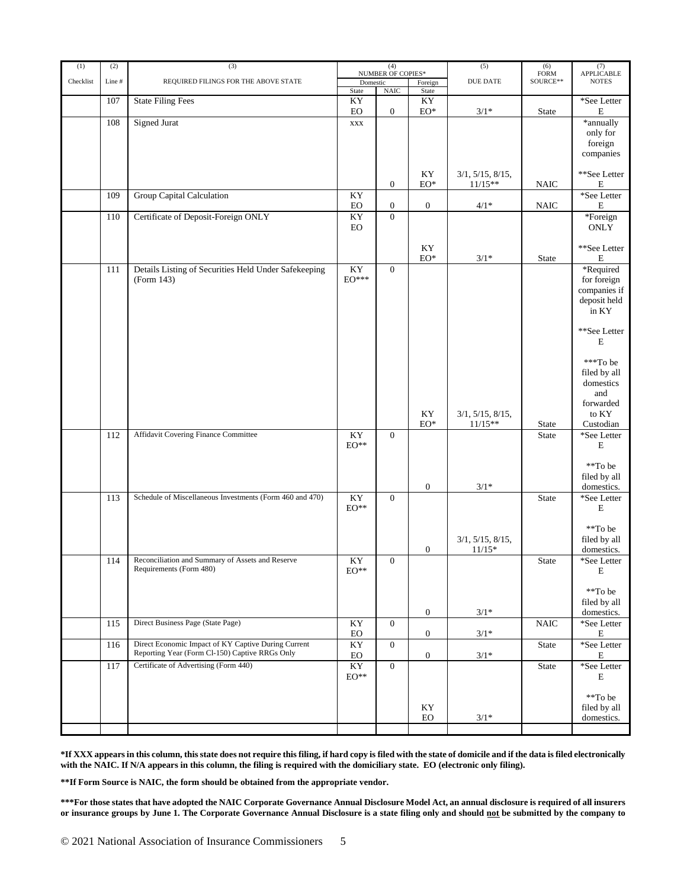| (1)       | (2)   | (3)                                                                                                   | (4)<br>NUMBER OF COPIES* |                  |                       |                               | (5)                      |                                                                                                      | (6) | $\left( 7\right)$ APPLICABLE |
|-----------|-------|-------------------------------------------------------------------------------------------------------|--------------------------|------------------|-----------------------|-------------------------------|--------------------------|------------------------------------------------------------------------------------------------------|-----|------------------------------|
| Checklist | Line# | REQUIRED FILINGS FOR THE ABOVE STATE                                                                  | Domestic                 |                  | Foreign               | <b>DUE DATE</b>               | ${\tt FORM}$<br>SOURCE** | <b>NOTES</b>                                                                                         |     |                              |
|           |       |                                                                                                       | State                    | $\rm NAIC$       | State                 |                               |                          |                                                                                                      |     |                              |
|           | 107   | <b>State Filing Fees</b>                                                                              | KY<br>EO                 | $\boldsymbol{0}$ | KY<br>$EO^*$          | $3/1*$                        | State                    | *See Letter<br>$\mathbf E$                                                                           |     |                              |
|           | 108   | <b>Signed Jurat</b>                                                                                   | <b>XXX</b>               |                  |                       |                               |                          | *annually<br>only for<br>foreign<br>companies                                                        |     |                              |
|           |       |                                                                                                       |                          | $\boldsymbol{0}$ | KY<br>$EO^*$          | 3/1, 5/15, 8/15,<br>$11/15**$ | <b>NAIC</b>              | **See Letter<br>$\mathbf E$                                                                          |     |                              |
|           | 109   | <b>Group Capital Calculation</b>                                                                      | KY<br>EO                 | $\boldsymbol{0}$ | $\boldsymbol{0}$      | $4/1*$                        | <b>NAIC</b>              | *See Letter<br>$\mathbf E$                                                                           |     |                              |
|           | 110   | Certificate of Deposit-Foreign ONLY                                                                   | KY<br>EO                 | $\boldsymbol{0}$ |                       |                               |                          | *Foreign<br>ONLY                                                                                     |     |                              |
|           |       |                                                                                                       |                          |                  | KY<br>$EO^*$          | $3/1*$                        | <b>State</b>             | **See Letter<br>$\mathbf E$                                                                          |     |                              |
|           | 111   | Details Listing of Securities Held Under Safekeeping<br>(Form 143)                                    | KY<br>$EO^{***}$         | $\boldsymbol{0}$ |                       |                               |                          | *Required<br>for foreign<br>companies if<br>deposit held<br>in KY                                    |     |                              |
|           |       |                                                                                                       |                          |                  | KY<br>$\mathrm{EO}^*$ | 3/1, 5/15, 8/15,<br>$11/15**$ | <b>State</b>             | **See Letter<br>E<br>***To be<br>filed by all<br>domestics<br>and<br>forwarded<br>to KY<br>Custodian |     |                              |
|           | 112   | Affidavit Covering Finance Committee                                                                  | KY<br>$\mathrm{EO}^{**}$ | $\boldsymbol{0}$ | $\boldsymbol{0}$      | $3/1*$                        | State                    | *See Letter<br>$\mathbf E$<br>**To be<br>filed by all<br>domestics.                                  |     |                              |
|           | 113   | Schedule of Miscellaneous Investments (Form 460 and 470)                                              | KY<br>$\mathrm{EO}^{**}$ | $\boldsymbol{0}$ |                       | 3/1, 5/15, 8/15,              | State                    | *See Letter<br>E<br>**To be<br>filed by all                                                          |     |                              |
|           | 114   | Reconciliation and Summary of Assets and Reserve<br>Requirements (Form 480)                           | KY<br>$EO**$             | $\Omega$         | $\boldsymbol{0}$      | $11/15*$                      | State                    | domestics.<br>*See Letter<br>E                                                                       |     |                              |
|           |       |                                                                                                       |                          |                  | $\mathbf{0}$          | $3/1*$                        |                          | **To be<br>filed by all<br>domestics.                                                                |     |                              |
|           | 115   | Direct Business Page (State Page)                                                                     | KY<br>EO                 | $\overline{0}$   | $\overline{0}$        | $3/1*$                        | <b>NAIC</b>              | *See Letter<br>${\bf E}$                                                                             |     |                              |
|           | 116   | Direct Economic Impact of KY Captive During Current<br>Reporting Year (Form Cl-150) Captive RRGs Only | KY<br>EO                 | $\overline{0}$   | $\mathbf{0}$          | $3/1*$                        | <b>State</b>             | *See Letter<br>$\mathbf E$                                                                           |     |                              |
|           | 117   | Certificate of Advertising (Form 440)                                                                 | KY<br>$\mathrm{EO}^{**}$ | $\overline{0}$   |                       |                               | State                    | *See Letter<br>E                                                                                     |     |                              |
|           |       |                                                                                                       |                          |                  | ΚY<br>${\rm EO}$      | $3/1*$                        |                          | **To be<br>filed by all<br>domestics.                                                                |     |                              |

**\*If XXX appears in this column, this state does not require this filing, if hard copy is filed with the state of domicile and if the data is filed electronically with the NAIC. If N/A appears in this column, the filing is required with the domiciliary state. EO (electronic only filing).**

**\*\*If Form Source is NAIC, the form should be obtained from the appropriate vendor.**

**\*\*\*For those states that have adopted the NAIC Corporate Governance Annual Disclosure Model Act, an annual disclosure is required of all insurers or insurance groups by June 1. The Corporate Governance Annual Disclosure is a state filing only and should not be submitted by the company to**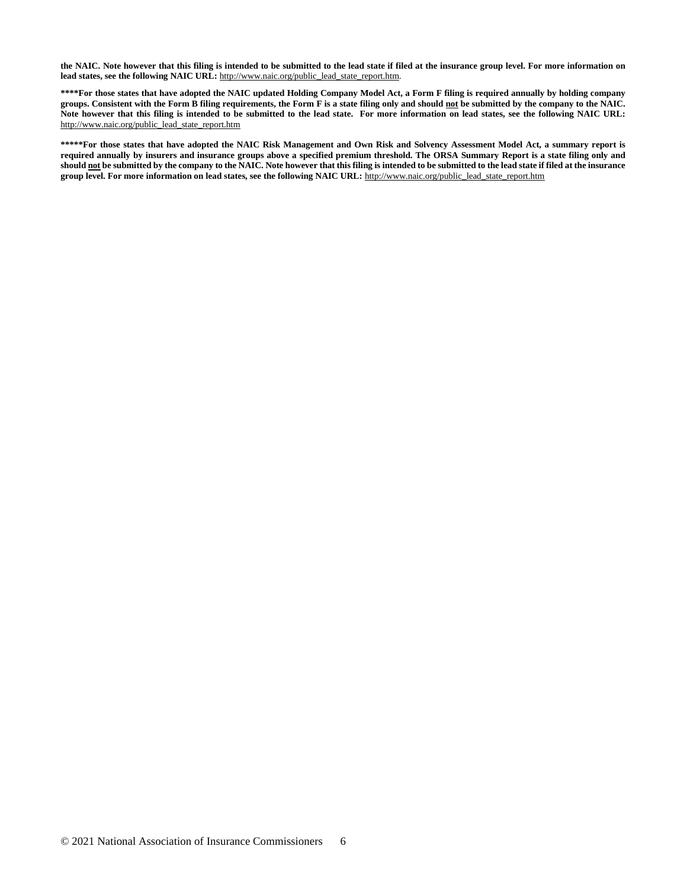**the NAIC. Note however that this filing is intended to be submitted to the lead state if filed at the insurance group level. For more information on lead states, see the following NAIC URL:** http://www.naic.org/public\_lead\_state\_report.htm.

**\*\*\*\*For those states that have adopted the NAIC updated Holding Company Model Act, a Form F filing is required annually by holding company groups. Consistent with the Form B filing requirements, the Form F is a state filing only and should not be submitted by the company to the NAIC. Note however that this filing is intended to be submitted to the lead state. For more information on lead states, see the following NAIC URL:** http://www.naic.org/public\_lead\_state\_report.htm

**\*\*\*\*\*For those states that have adopted the NAIC Risk Management and Own Risk and Solvency Assessment Model Act, a summary report is required annually by insurers and insurance groups above a specified premium threshold. The ORSA Summary Report is a state filing only and should not be submitted by the company to the NAIC. Note however that this filing is intended to be submitted to the lead state if filed at the insurance group level. For more information on lead states, see the following NAIC URL:** http://www.naic.org/public\_lead\_state\_report.htm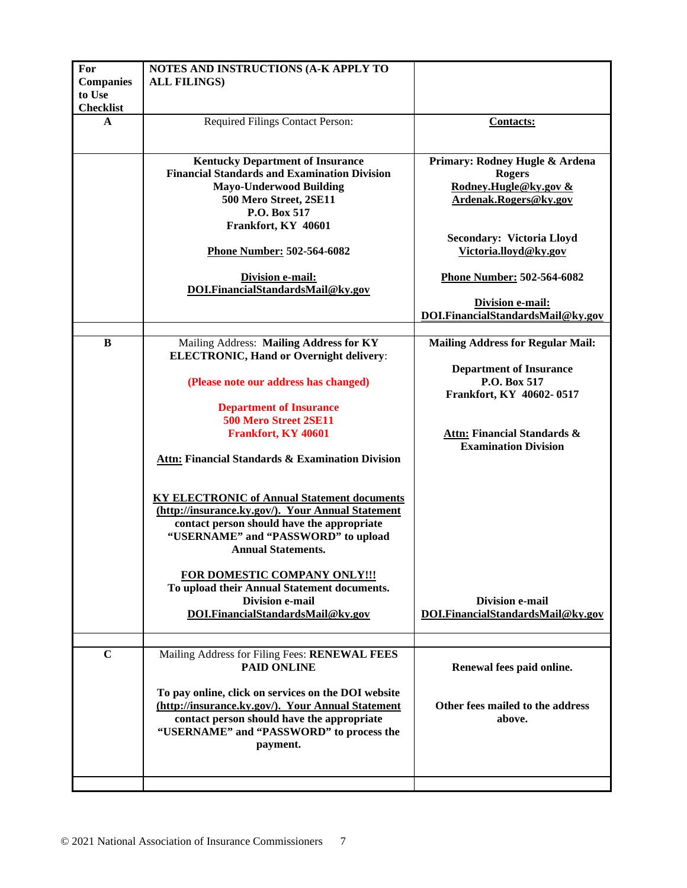| For<br><b>Companies</b><br>to Use | NOTES AND INSTRUCTIONS (A-K APPLY TO<br><b>ALL FILINGS)</b>                                                                                                                                                               |                                                                                                   |
|-----------------------------------|---------------------------------------------------------------------------------------------------------------------------------------------------------------------------------------------------------------------------|---------------------------------------------------------------------------------------------------|
| <b>Checklist</b>                  |                                                                                                                                                                                                                           |                                                                                                   |
| A                                 | Required Filings Contact Person:                                                                                                                                                                                          | <b>Contacts:</b>                                                                                  |
|                                   | <b>Kentucky Department of Insurance</b><br><b>Financial Standards and Examination Division</b><br><b>Mayo-Underwood Building</b><br>500 Mero Street, 2SE11<br>P.O. Box 517<br>Frankfort, KY 40601                         | Primary: Rodney Hugle & Ardena<br><b>Rogers</b><br>Rodney.Hugle@ky.gov &<br>Ardenak.Rogers@ky.gov |
|                                   | Phone Number: 502-564-6082                                                                                                                                                                                                | <b>Secondary: Victoria Lloyd</b><br>Victoria.lloyd@ky.gov                                         |
|                                   | <b>Division e-mail:</b><br>DOI.FinancialStandardsMail@ky.gov                                                                                                                                                              | Phone Number: 502-564-6082                                                                        |
|                                   |                                                                                                                                                                                                                           | Division e-mail:<br>DOI.FinancialStandardsMail@ky.gov                                             |
| B                                 | Mailing Address: Mailing Address for KY                                                                                                                                                                                   | <b>Mailing Address for Regular Mail:</b>                                                          |
|                                   | <b>ELECTRONIC, Hand or Overnight delivery:</b>                                                                                                                                                                            |                                                                                                   |
|                                   | (Please note our address has changed)                                                                                                                                                                                     | <b>Department of Insurance</b><br>P.O. Box 517                                                    |
|                                   | <b>Department of Insurance</b>                                                                                                                                                                                            | Frankfort, KY 40602-0517                                                                          |
|                                   | 500 Mero Street 2SE11                                                                                                                                                                                                     |                                                                                                   |
|                                   | Frankfort, KY 40601                                                                                                                                                                                                       | Attn: Financial Standards &                                                                       |
|                                   | <b>Attn: Financial Standards &amp; Examination Division</b>                                                                                                                                                               | <b>Examination Division</b>                                                                       |
|                                   | <b>KY ELECTRONIC of Annual Statement documents</b><br>(http://insurance.ky.gov/). Your Annual Statement<br>contact person should have the appropriate<br>"USERNAME" and "PASSWORD" to upload<br><b>Annual Statements.</b> |                                                                                                   |
|                                   | FOR DOMESTIC COMPANY ONLY !!!<br>To upload their Annual Statement documents.<br><b>Division e-mail</b><br>DOI.FinancialStandardsMail@ky.gov                                                                               | <b>Division e-mail</b><br>DOI.FinancialStandardsMail@ky.gov                                       |
|                                   |                                                                                                                                                                                                                           |                                                                                                   |
| $\mathbf C$                       | Mailing Address for Filing Fees: RENEWAL FEES<br><b>PAID ONLINE</b>                                                                                                                                                       | Renewal fees paid online.                                                                         |
|                                   | To pay online, click on services on the DOI website<br>(http://insurance.ky.gov/). Your Annual Statement<br>contact person should have the appropriate<br>"USERNAME" and "PASSWORD" to process the<br>payment.            | Other fees mailed to the address<br>above.                                                        |
|                                   |                                                                                                                                                                                                                           |                                                                                                   |
|                                   |                                                                                                                                                                                                                           |                                                                                                   |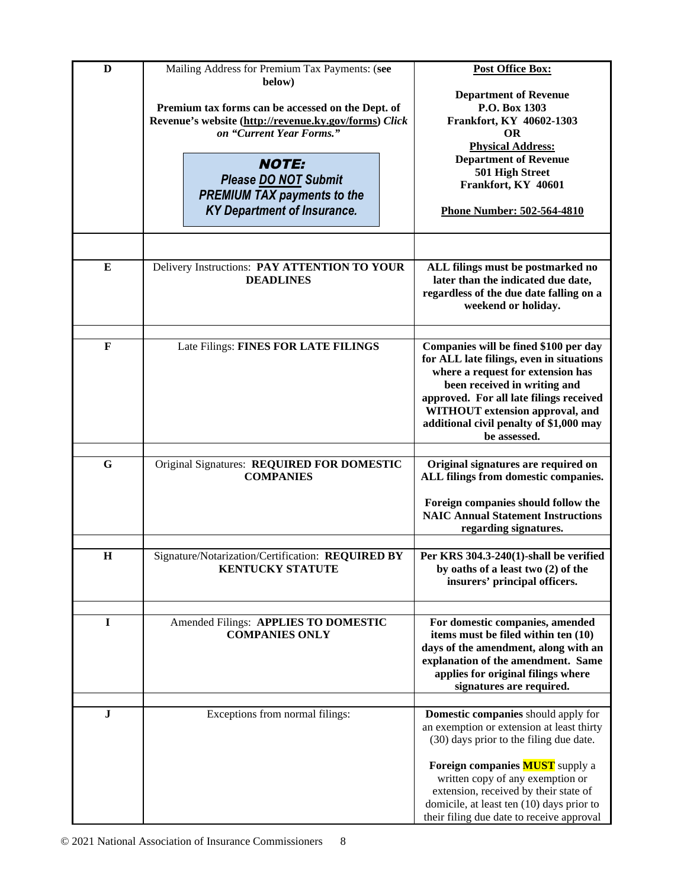| D           | Mailing Address for Premium Tax Payments: (see<br>below) | <b>Post Office Box:</b>                                                                 |
|-------------|----------------------------------------------------------|-----------------------------------------------------------------------------------------|
|             |                                                          | <b>Department of Revenue</b>                                                            |
|             | Premium tax forms can be accessed on the Dept. of        | P.O. Box 1303                                                                           |
|             | Revenue's website (http://revenue.ky.gov/forms) Click    | Frankfort, KY 40602-1303                                                                |
|             | on "Current Year Forms."                                 | <b>OR</b>                                                                               |
|             |                                                          | <b>Physical Address:</b>                                                                |
|             | <b>NOTE:</b>                                             | <b>Department of Revenue</b>                                                            |
|             | Please DO NOT Submit                                     | 501 High Street<br>Frankfort, KY 40601                                                  |
|             | <b>PREMIUM TAX payments to the</b>                       |                                                                                         |
|             | <b>KY Department of Insurance.</b>                       | <b>Phone Number: 502-564-4810</b>                                                       |
|             |                                                          |                                                                                         |
|             |                                                          |                                                                                         |
|             |                                                          |                                                                                         |
| E           | Delivery Instructions: PAY ATTENTION TO YOUR             | ALL filings must be postmarked no                                                       |
|             | <b>DEADLINES</b>                                         | later than the indicated due date,                                                      |
|             |                                                          | regardless of the due date falling on a                                                 |
|             |                                                          | weekend or holiday.                                                                     |
|             |                                                          |                                                                                         |
| F           | Late Filings: FINES FOR LATE FILINGS                     | Companies will be fined \$100 per day                                                   |
|             |                                                          | for ALL late filings, even in situations                                                |
|             |                                                          | where a request for extension has                                                       |
|             |                                                          | been received in writing and                                                            |
|             |                                                          | approved. For all late filings received                                                 |
|             |                                                          | WITHOUT extension approval, and<br>additional civil penalty of \$1,000 may              |
|             |                                                          | be assessed.                                                                            |
|             |                                                          |                                                                                         |
| $\mathbf G$ | Original Signatures: REQUIRED FOR DOMESTIC               | Original signatures are required on                                                     |
|             | <b>COMPANIES</b>                                         | ALL filings from domestic companies.                                                    |
|             |                                                          |                                                                                         |
|             |                                                          | Foreign companies should follow the<br><b>NAIC Annual Statement Instructions</b>        |
|             |                                                          | regarding signatures.                                                                   |
|             |                                                          |                                                                                         |
| $\mathbf H$ | Signature/Notarization/Certification: REQUIRED BY        | Per KRS 304.3-240(1)-shall be verified                                                  |
|             | <b>KENTUCKY STATUTE</b>                                  | by oaths of a least two (2) of the                                                      |
|             |                                                          | insurers' principal officers.                                                           |
|             |                                                          |                                                                                         |
| $\mathbf I$ | Amended Filings: APPLIES TO DOMESTIC                     | For domestic companies, amended                                                         |
|             | <b>COMPANIES ONLY</b>                                    | items must be filed within ten (10)                                                     |
|             |                                                          | days of the amendment, along with an                                                    |
|             |                                                          | explanation of the amendment. Same                                                      |
|             |                                                          | applies for original filings where                                                      |
|             |                                                          | signatures are required.                                                                |
|             |                                                          |                                                                                         |
| J           | Exceptions from normal filings:                          | <b>Domestic companies</b> should apply for<br>an exemption or extension at least thirty |
|             |                                                          | (30) days prior to the filing due date.                                                 |
|             |                                                          |                                                                                         |
|             |                                                          | Foreign companies <b>MUST</b> supply a                                                  |
|             |                                                          | written copy of any exemption or                                                        |
|             |                                                          | extension, received by their state of                                                   |
|             |                                                          | domicile, at least ten (10) days prior to                                               |
|             |                                                          | their filing due date to receive approval                                               |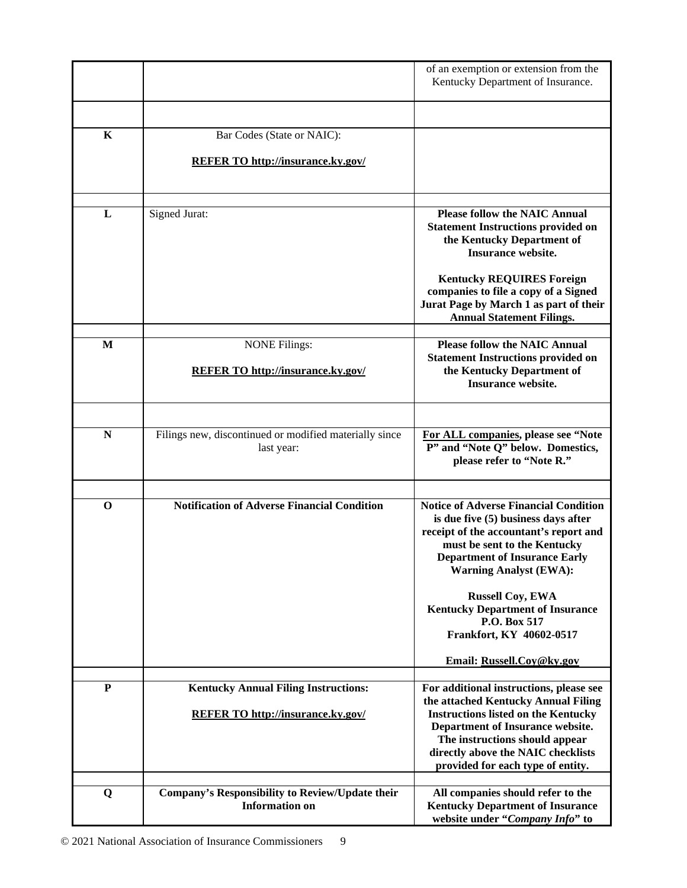|             |                                                                      | of an exemption or extension from the<br>Kentucky Department of Insurance.                                                                                                                                                             |
|-------------|----------------------------------------------------------------------|----------------------------------------------------------------------------------------------------------------------------------------------------------------------------------------------------------------------------------------|
|             |                                                                      |                                                                                                                                                                                                                                        |
| $\mathbf K$ | Bar Codes (State or NAIC):                                           |                                                                                                                                                                                                                                        |
|             | <b>REFER TO http://insurance.ky.gov/</b>                             |                                                                                                                                                                                                                                        |
|             |                                                                      |                                                                                                                                                                                                                                        |
| L           | <b>Signed Jurat:</b>                                                 | <b>Please follow the NAIC Annual</b><br><b>Statement Instructions provided on</b><br>the Kentucky Department of<br><b>Insurance website.</b>                                                                                           |
|             |                                                                      | <b>Kentucky REQUIRES Foreign</b><br>companies to file a copy of a Signed<br>Jurat Page by March 1 as part of their<br><b>Annual Statement Filings.</b>                                                                                 |
| M           | <b>NONE Filings:</b>                                                 | <b>Please follow the NAIC Annual</b>                                                                                                                                                                                                   |
|             | <b>REFER TO http://insurance.ky.gov/</b>                             | <b>Statement Instructions provided on</b><br>the Kentucky Department of<br><b>Insurance website.</b>                                                                                                                                   |
|             |                                                                      |                                                                                                                                                                                                                                        |
| N           | Filings new, discontinued or modified materially since<br>last year: | For ALL companies, please see "Note<br>P" and "Note Q" below. Domestics,<br>please refer to "Note R."                                                                                                                                  |
|             |                                                                      |                                                                                                                                                                                                                                        |
| $\bf{0}$    | <b>Notification of Adverse Financial Condition</b>                   | <b>Notice of Adverse Financial Condition</b><br>is due five (5) business days after<br>receipt of the accountant's report and<br>must be sent to the Kentucky<br><b>Department of Insurance Early</b><br><b>Warning Analyst (EWA):</b> |
|             |                                                                      | <b>Russell Coy, EWA</b><br><b>Kentucky Department of Insurance</b><br>P.O. Box 517<br>Frankfort, KY 40602-0517                                                                                                                         |
|             |                                                                      | Email: Russell.Coy@ky.gov                                                                                                                                                                                                              |
| ${\bf P}$   | <b>Kentucky Annual Filing Instructions:</b>                          | For additional instructions, please see                                                                                                                                                                                                |
|             | <b>REFER TO http://insurance.ky.gov/</b>                             | the attached Kentucky Annual Filing<br><b>Instructions listed on the Kentucky</b><br>Department of Insurance website.                                                                                                                  |
|             |                                                                      | The instructions should appear<br>directly above the NAIC checklists<br>provided for each type of entity.                                                                                                                              |
| Q           | Company's Responsibility to Review/Update their                      | All companies should refer to the                                                                                                                                                                                                      |
|             | <b>Information on</b>                                                | <b>Kentucky Department of Insurance</b><br>website under "Company Info" to                                                                                                                                                             |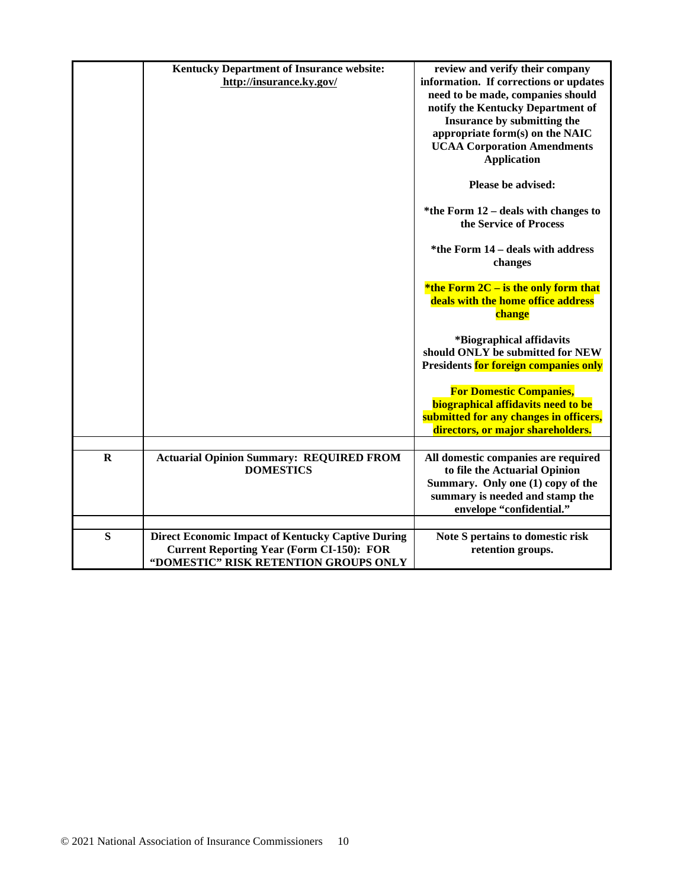|             | <b>Kentucky Department of Insurance website:</b><br>http://insurance.ky.gov/                                                                          | review and verify their company<br>information. If corrections or updates<br>need to be made, companies should<br>notify the Kentucky Department of<br>Insurance by submitting the<br>appropriate form(s) on the NAIC<br><b>UCAA Corporation Amendments</b><br><b>Application</b> |
|-------------|-------------------------------------------------------------------------------------------------------------------------------------------------------|-----------------------------------------------------------------------------------------------------------------------------------------------------------------------------------------------------------------------------------------------------------------------------------|
|             |                                                                                                                                                       | Please be advised:                                                                                                                                                                                                                                                                |
|             |                                                                                                                                                       | *the Form $12$ – deals with changes to<br>the Service of Process                                                                                                                                                                                                                  |
|             |                                                                                                                                                       | *the Form 14 – deals with address<br>changes                                                                                                                                                                                                                                      |
|             |                                                                                                                                                       | *the Form $2C -$ is the only form that<br>deals with the home office address<br>change                                                                                                                                                                                            |
|             |                                                                                                                                                       | *Biographical affidavits<br>should ONLY be submitted for NEW<br>Presidents for foreign companies only                                                                                                                                                                             |
|             |                                                                                                                                                       | <b>For Domestic Companies,</b><br>biographical affidavits need to be<br>submitted for any changes in officers,<br>directors, or major shareholders.                                                                                                                               |
|             |                                                                                                                                                       |                                                                                                                                                                                                                                                                                   |
| $\mathbf R$ | <b>Actuarial Opinion Summary: REQUIRED FROM</b><br><b>DOMESTICS</b>                                                                                   | All domestic companies are required<br>to file the Actuarial Opinion<br>Summary. Only one (1) copy of the<br>summary is needed and stamp the<br>envelope "confidential."                                                                                                          |
| S           | <b>Direct Economic Impact of Kentucky Captive During</b><br><b>Current Reporting Year (Form CI-150): FOR</b><br>"DOMESTIC" RISK RETENTION GROUPS ONLY | Note S pertains to domestic risk<br>retention groups.                                                                                                                                                                                                                             |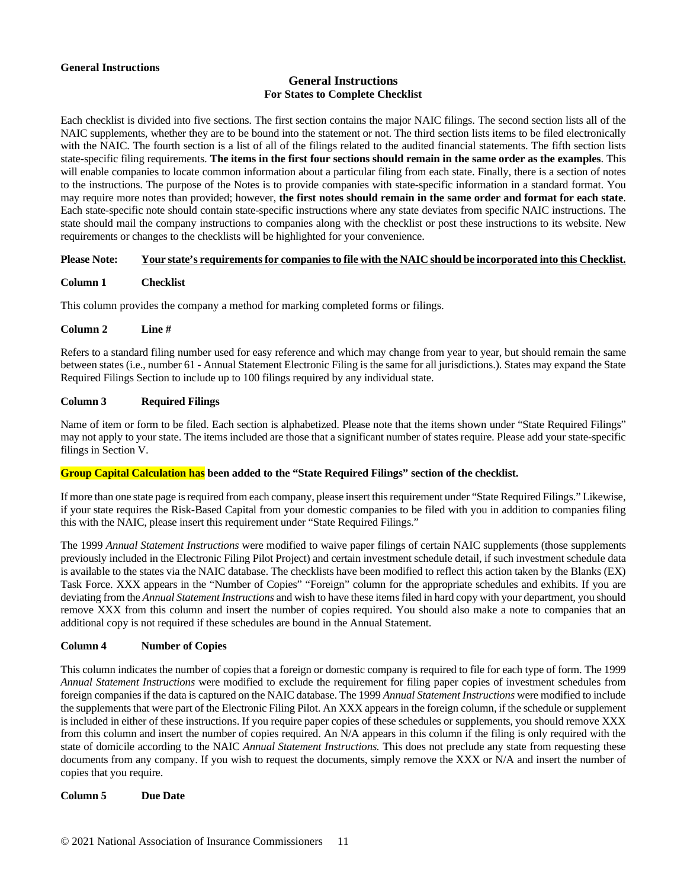#### **General Instructions**

# **General Instructions For States to Complete Checklist**

Each checklist is divided into five sections. The first section contains the major NAIC filings. The second section lists all of the NAIC supplements, whether they are to be bound into the statement or not. The third section lists items to be filed electronically with the NAIC. The fourth section is a list of all of the filings related to the audited financial statements. The fifth section lists state-specific filing requirements. **The items in the first four sections should remain in the same order as the examples**. This will enable companies to locate common information about a particular filing from each state. Finally, there is a section of notes to the instructions. The purpose of the Notes is to provide companies with state-specific information in a standard format. You may require more notes than provided; however, **the first notes should remain in the same order and format for each state**. Each state-specific note should contain state-specific instructions where any state deviates from specific NAIC instructions. The state should mail the company instructions to companies along with the checklist or post these instructions to its website. New requirements or changes to the checklists will be highlighted for your convenience.

## **Please Note: Your state's requirements for companies to file with the NAIC should be incorporated into this Checklist.**

# **Column 1 Checklist**

This column provides the company a method for marking completed forms or filings.

#### **Column 2 Line #**

Refers to a standard filing number used for easy reference and which may change from year to year, but should remain the same between states (i.e., number 61 - Annual Statement Electronic Filing is the same for all jurisdictions.). States may expand the State Required Filings Section to include up to 100 filings required by any individual state.

## **Column 3 Required Filings**

Name of item or form to be filed. Each section is alphabetized. Please note that the items shown under "State Required Filings" may not apply to your state. The items included are those that a significant number of states require. Please add your state-specific filings in Section V.

## **Group Capital Calculation has been added to the "State Required Filings" section of the checklist.**

If more than one state page is required from each company, please insert this requirement under "State Required Filings." Likewise, if your state requires the Risk-Based Capital from your domestic companies to be filed with you in addition to companies filing this with the NAIC, please insert this requirement under "State Required Filings."

The 1999 *Annual Statement Instructions* were modified to waive paper filings of certain NAIC supplements (those supplements previously included in the Electronic Filing Pilot Project) and certain investment schedule detail, if such investment schedule data is available to the states via the NAIC database. The checklists have been modified to reflect this action taken by the Blanks (EX) Task Force. XXX appears in the "Number of Copies" "Foreign" column for the appropriate schedules and exhibits. If you are deviating from the *Annual Statement Instructions* and wish to have these items filed in hard copy with your department, you should remove XXX from this column and insert the number of copies required. You should also make a note to companies that an additional copy is not required if these schedules are bound in the Annual Statement.

## **Column 4 Number of Copies**

This column indicates the number of copies that a foreign or domestic company is required to file for each type of form. The 1999 *Annual Statement Instructions* were modified to exclude the requirement for filing paper copies of investment schedules from foreign companies if the data is captured on the NAIC database. The 1999 *Annual Statement Instructions* were modified to include the supplements that were part of the Electronic Filing Pilot. An XXX appears in the foreign column, if the schedule or supplement is included in either of these instructions. If you require paper copies of these schedules or supplements, you should remove XXX from this column and insert the number of copies required. An N/A appears in this column if the filing is only required with the state of domicile according to the NAIC *Annual Statement Instructions.* This does not preclude any state from requesting these documents from any company. If you wish to request the documents, simply remove the XXX or N/A and insert the number of copies that you require.

#### **Column 5 Due Date**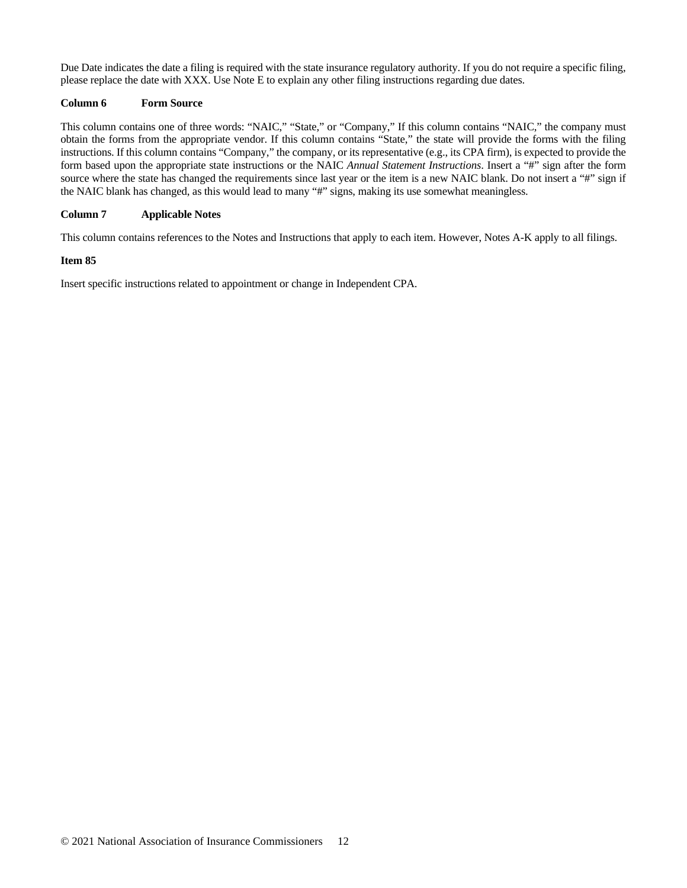Due Date indicates the date a filing is required with the state insurance regulatory authority. If you do not require a specific filing, please replace the date with XXX. Use Note E to explain any other filing instructions regarding due dates.

## **Column 6 Form Source**

This column contains one of three words: "NAIC," "State," or "Company," If this column contains "NAIC," the company must obtain the forms from the appropriate vendor. If this column contains "State," the state will provide the forms with the filing instructions. If this column contains "Company," the company, or its representative (e.g., its CPA firm), is expected to provide the form based upon the appropriate state instructions or the NAIC *Annual Statement Instructions*. Insert a "#" sign after the form source where the state has changed the requirements since last year or the item is a new NAIC blank. Do not insert a "#" sign if the NAIC blank has changed, as this would lead to many "#" signs, making its use somewhat meaningless.

#### **Column 7 Applicable Notes**

This column contains references to the Notes and Instructions that apply to each item. However, Notes A-K apply to all filings.

#### **Item 85**

Insert specific instructions related to appointment or change in Independent CPA.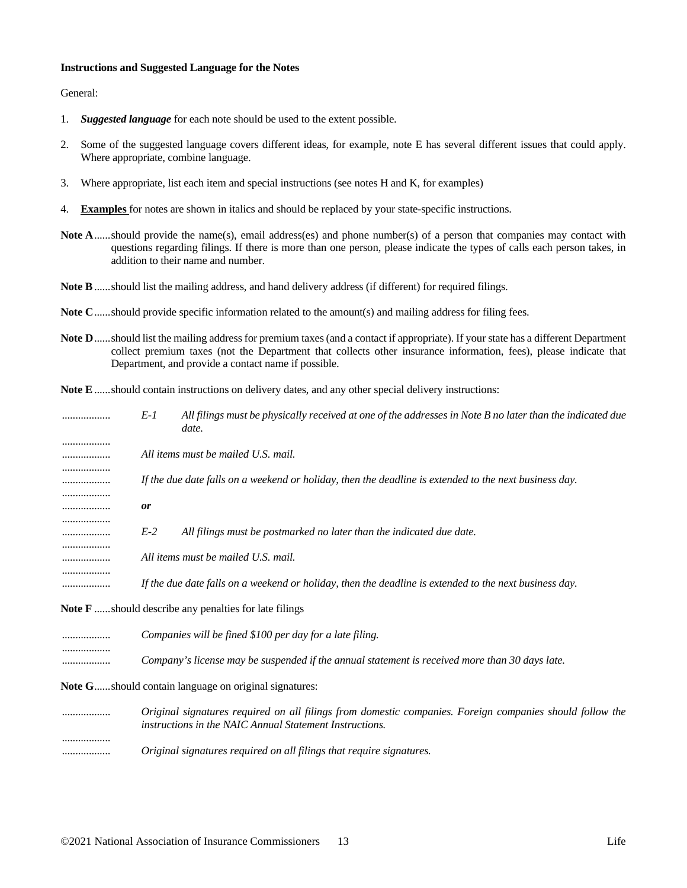#### **Instructions and Suggested Language for the Notes**

General:

- 1. *Suggested language* for each note should be used to the extent possible.
- 2. Some of the suggested language covers different ideas, for example, note E has several different issues that could apply. Where appropriate, combine language.
- 3. Where appropriate, list each item and special instructions (see notes H and K, for examples)
- 4. **Examples** for notes are shown in italics and should be replaced by your state-specific instructions.
- **Note A......should provide the name(s), email address(es) and phone number(s) of a person that companies may contact with** questions regarding filings. If there is more than one person, please indicate the types of calls each person takes, in addition to their name and number.
- **Note B**......should list the mailing address, and hand delivery address (if different) for required filings.
- **Note C**......should provide specific information related to the amount(s) and mailing address for filing fees.
- **Note D**......should list the mailing address for premium taxes (and a contact if appropriate). If your state has a different Department collect premium taxes (not the Department that collects other insurance information, fees), please indicate that Department, and provide a contact name if possible.
- **Note E**......should contain instructions on delivery dates, and any other special delivery instructions:

| .      | $E-1$     | All filings must be physically received at one of the addresses in Note B no later than the indicated due<br>date. |
|--------|-----------|--------------------------------------------------------------------------------------------------------------------|
| .      |           | All items must be mailed U.S. mail.                                                                                |
| .<br>. |           | If the due date falls on a weekend or holiday, then the deadline is extended to the next business day.             |
| .<br>. | <i>or</i> |                                                                                                                    |
| .<br>  | $E-2$     | All filings must be postmarked no later than the indicated due date.                                               |
|        |           | All items must be mailed U.S. mail.                                                                                |
|        |           | If the due date falls on a weekend or holiday, then the deadline is extended to the next business day.             |
|        |           |                                                                                                                    |

**Note F** ......should describe any penalties for late filings

.................. *Companies will be fined \$100 per day for a late filing.* .................. .................. *Company's license may be suspended if the annual statement is received more than 30 days late.*

**Note G**......should contain language on original signatures:

.................. *Original signatures required on all filings from domestic companies. Foreign companies should follow the instructions in the NAIC Annual Statement Instructions.* .................. .................. *Original signatures required on all filings that require signatures.*